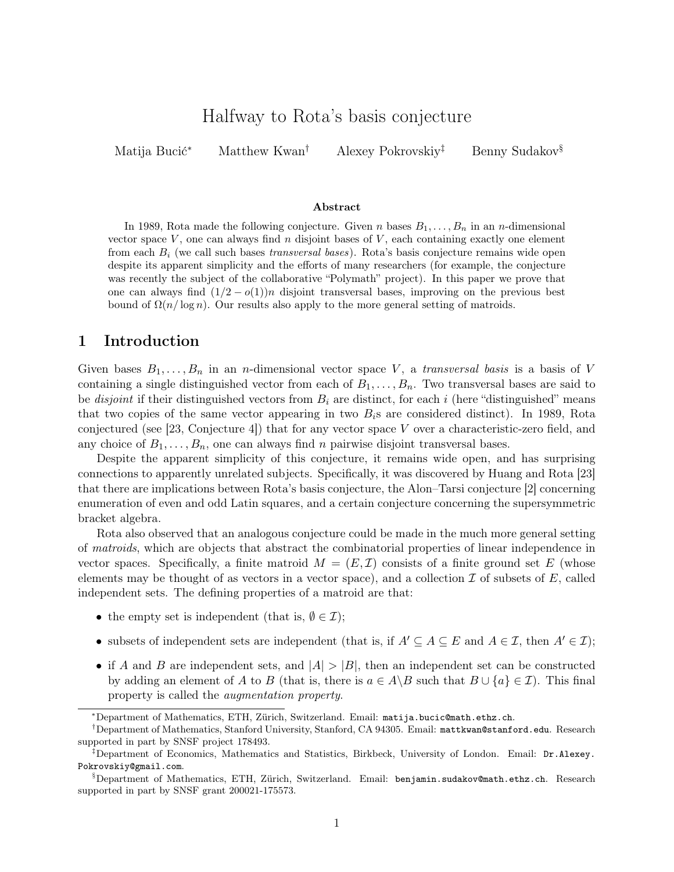# Halfway to Rota's basis conjecture

Matija Bucić<sup>∗</sup> Matthew Kwan† Alexey Pokrovskiy‡ Benny Sudakov§

#### Abstract

In 1989, Rota made the following conjecture. Given n bases  $B_1, \ldots, B_n$  in an n-dimensional vector space  $V$ , one can always find n disjoint bases of  $V$ , each containing exactly one element from each  $B_i$  (we call such bases *transversal bases*). Rota's basis conjecture remains wide open despite its apparent simplicity and the efforts of many researchers (for example, the conjecture was recently the subject of the collaborative "Polymath" project). In this paper we prove that one can always find  $(1/2 - o(1))n$  disjoint transversal bases, improving on the previous best bound of  $\Omega(n/\log n)$ . Our results also apply to the more general setting of matroids.

# 1 Introduction

Given bases  $B_1, \ldots, B_n$  in an *n*-dimensional vector space V, a transversal basis is a basis of V containing a single distinguished vector from each of  $B_1, \ldots, B_n$ . Two transversal bases are said to be *disjoint* if their distinguished vectors from  $B_i$  are distinct, for each i (here "distinguished" means that two copies of the same vector appearing in two  $B_i$ s are considered distinct). In 1989, Rota conjectured (see [\[23,](#page-12-0) Conjecture 4]) that for any vector space V over a characteristic-zero field, and any choice of  $B_1, \ldots, B_n$ , one can always find n pairwise disjoint transversal bases.

Despite the apparent simplicity of this conjecture, it remains wide open, and has surprising connections to apparently unrelated subjects. Specifically, it was discovered by Huang and Rota [\[23\]](#page-12-0) that there are implications between Rota's basis conjecture, the Alon–Tarsi conjecture [\[2\]](#page-11-0) concerning enumeration of even and odd Latin squares, and a certain conjecture concerning the supersymmetric bracket algebra.

Rota also observed that an analogous conjecture could be made in the much more general setting of matroids, which are objects that abstract the combinatorial properties of linear independence in vector spaces. Specifically, a finite matroid  $M = (E, \mathcal{I})$  consists of a finite ground set E (whose elements may be thought of as vectors in a vector space), and a collection  $\mathcal I$  of subsets of  $E$ , called independent sets. The defining properties of a matroid are that:

- the empty set is independent (that is,  $\emptyset \in \mathcal{I}$ );
- subsets of independent sets are independent (that is, if  $A' \subseteq A \subseteq E$  and  $A \in \mathcal{I}$ , then  $A' \in \mathcal{I}$ );
- if A and B are independent sets, and  $|A| > |B|$ , then an independent set can be constructed by adding an element of A to B (that is, there is  $a \in A \backslash B$  such that  $B \cup \{a\} \in \mathcal{I}$ ). This final property is called the augmentation property.

<sup>∗</sup>Department of Mathematics, ETH, Zürich, Switzerland. Email: [matija.bucic@math.ethz.ch](mailto:matija.bucic@math.ethz.ch).

<sup>†</sup>Department of Mathematics, Stanford University, Stanford, CA 94305. Email: [mattkwan@stanford.edu](mailto:mattkwan@stanford.edu). Research supported in part by SNSF project 178493.

<sup>‡</sup>Department of Economics, Mathematics and Statistics, Birkbeck, University of London. Email: [Dr.Alexey.](mailto:Dr.Alexey.Pokrovskiy@gmail.com) [Pokrovskiy@gmail.com](mailto:Dr.Alexey.Pokrovskiy@gmail.com).

<sup>§</sup>Department of Mathematics, ETH, Zürich, Switzerland. Email: [benjamin.sudakov@math.ethz.ch](mailto:benjamin.sudakov@math.ethz.ch). Research supported in part by SNSF grant 200021-175573.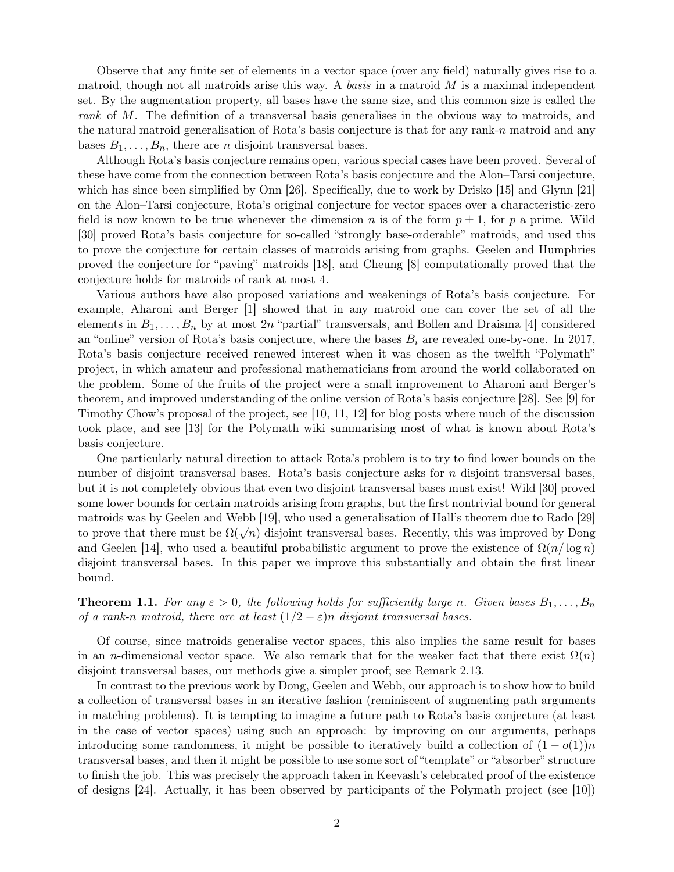Observe that any finite set of elements in a vector space (over any field) naturally gives rise to a matroid, though not all matroids arise this way. A basis in a matroid  $M$  is a maximal independent set. By the augmentation property, all bases have the same size, and this common size is called the rank of M. The definition of a transversal basis generalises in the obvious way to matroids, and the natural matroid generalisation of Rota's basis conjecture is that for any rank-n matroid and any bases  $B_1, \ldots, B_n$ , there are *n* disjoint transversal bases.

Although Rota's basis conjecture remains open, various special cases have been proved. Several of these have come from the connection between Rota's basis conjecture and the Alon–Tarsi conjecture, which has since been simplified by Onn [\[26\]](#page-12-1). Specifically, due to work by Drisko [\[15\]](#page-12-2) and Glynn [\[21\]](#page-12-3) on the Alon–Tarsi conjecture, Rota's original conjecture for vector spaces over a characteristic-zero field is now known to be true whenever the dimension n is of the form  $p \pm 1$ , for p a prime. Wild [\[30\]](#page-12-4) proved Rota's basis conjecture for so-called "strongly base-orderable" matroids, and used this to prove the conjecture for certain classes of matroids arising from graphs. Geelen and Humphries proved the conjecture for "paving" matroids [\[18\]](#page-12-5), and Cheung [\[8\]](#page-11-1) computationally proved that the conjecture holds for matroids of rank at most 4.

Various authors have also proposed variations and weakenings of Rota's basis conjecture. For example, Aharoni and Berger [\[1\]](#page-11-2) showed that in any matroid one can cover the set of all the elements in  $B_1, \ldots, B_n$  by at most 2n "partial" transversals, and Bollen and Draisma [\[4\]](#page-11-3) considered an "online" version of Rota's basis conjecture, where the bases  $B_i$  are revealed one-by-one. In 2017, Rota's basis conjecture received renewed interest when it was chosen as the twelfth "Polymath" project, in which amateur and professional mathematicians from around the world collaborated on the problem. Some of the fruits of the project were a small improvement to Aharoni and Berger's theorem, and improved understanding of the online version of Rota's basis conjecture [\[28\]](#page-12-6). See [\[9\]](#page-11-4) for Timothy Chow's proposal of the project, see [\[10,](#page-11-5) [11,](#page-11-6) [12\]](#page-12-7) for blog posts where much of the discussion took place, and see [\[13\]](#page-12-8) for the Polymath wiki summarising most of what is known about Rota's basis conjecture.

One particularly natural direction to attack Rota's problem is to try to find lower bounds on the number of disjoint transversal bases. Rota's basis conjecture asks for *n* disjoint transversal bases, but it is not completely obvious that even two disjoint transversal bases must exist! Wild [\[30\]](#page-12-4) proved some lower bounds for certain matroids arising from graphs, but the first nontrivial bound for general matroids was by Geelen and Webb [\[19\]](#page-12-9), who used a generalisation of Hall's theorem due to Rado [\[29\]](#page-12-10) to prove that there must be  $\Omega(\sqrt{n})$  disjoint transversal bases. Recently, this was improved by Dong and Geelen [\[14\]](#page-12-11), who used a beautiful probabilistic argument to prove the existence of  $\Omega(n/\log n)$ disjoint transversal bases. In this paper we improve this substantially and obtain the first linear bound.

<span id="page-1-0"></span>**Theorem 1.1.** For any  $\varepsilon > 0$ , the following holds for sufficiently large n. Given bases  $B_1, \ldots, B_n$ of a rank-n matroid, there are at least  $(1/2 - \varepsilon)n$  disjoint transversal bases.

Of course, since matroids generalise vector spaces, this also implies the same result for bases in an n-dimensional vector space. We also remark that for the weaker fact that there exist  $\Omega(n)$ disjoint transversal bases, our methods give a simpler proof; see [Remark 2.13.](#page-8-0)

In contrast to the previous work by Dong, Geelen and Webb, our approach is to show how to build a collection of transversal bases in an iterative fashion (reminiscent of augmenting path arguments in matching problems). It is tempting to imagine a future path to Rota's basis conjecture (at least in the case of vector spaces) using such an approach: by improving on our arguments, perhaps introducing some randomness, it might be possible to iteratively build a collection of  $(1 - o(1))n$ transversal bases, and then it might be possible to use some sort of "template" or "absorber" structure to finish the job. This was precisely the approach taken in Keevash's celebrated proof of the existence of designs [\[24\]](#page-12-12). Actually, it has been observed by participants of the Polymath project (see [\[10\]](#page-11-5))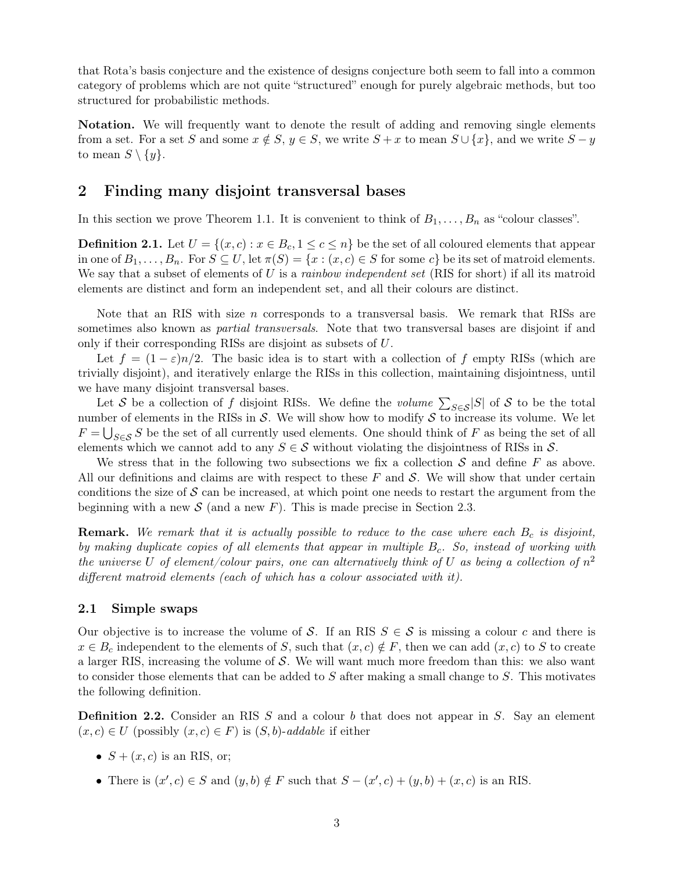that Rota's basis conjecture and the existence of designs conjecture both seem to fall into a common category of problems which are not quite "structured" enough for purely algebraic methods, but too structured for probabilistic methods.

Notation. We will frequently want to denote the result of adding and removing single elements from a set. For a set S and some  $x \notin S$ ,  $y \in S$ , we write  $S + x$  to mean  $S \cup \{x\}$ , and we write  $S - y$ to mean  $S \setminus \{y\}.$ 

# 2 Finding many disjoint transversal bases

In this section we prove [Theorem 1.1.](#page-1-0) It is convenient to think of  $B_1, \ldots, B_n$  as "colour classes".

**Definition 2.1.** Let  $U = \{(x, c) : x \in B_c, 1 \leq c \leq n\}$  be the set of all coloured elements that appear in one of  $B_1, \ldots, B_n$ . For  $S \subseteq U$ , let  $\pi(S) = \{x : (x, c) \in S$  for some  $c\}$  be its set of matroid elements. We say that a subset of elements of U is a *rainbow independent set* (RIS for short) if all its matroid elements are distinct and form an independent set, and all their colours are distinct.

Note that an RIS with size  $n$  corresponds to a transversal basis. We remark that RISs are sometimes also known as *partial transversals*. Note that two transversal bases are disjoint if and only if their corresponding RISs are disjoint as subsets of U.

Let  $f = (1 - \varepsilon)n/2$ . The basic idea is to start with a collection of f empty RISs (which are trivially disjoint), and iteratively enlarge the RISs in this collection, maintaining disjointness, until we have many disjoint transversal bases.

Let S be a collection of f disjoint RISs. We define the *volume*  $\sum_{S \in \mathcal{S}} |S|$  of S to be the total number of elements in the RISs in  $\mathcal S$ . We will show how to modify  $\mathcal S$  to increase its volume. We let  $F = \bigcup_{S \in \mathcal{S}} S$  be the set of all currently used elements. One should think of F as being the set of all elements which we cannot add to any  $S \in \mathcal{S}$  without violating the disjointness of RISs in  $\mathcal{S}$ .

We stress that in the following two subsections we fix a collection  $S$  and define  $F$  as above. All our definitions and claims are with respect to these  $F$  and  $S$ . We will show that under certain conditions the size of  $S$  can be increased, at which point one needs to restart the argument from the beginning with a new  $S$  (and a new F). This is made precise in [Section 2.3.](#page-8-1)

**Remark.** We remark that it is actually possible to reduce to the case where each  $B_c$  is disjoint, by making duplicate copies of all elements that appear in multiple  $B<sub>c</sub>$ . So, instead of working with the universe U of element/colour pairs, one can alternatively think of U as being a collection of  $n^2$ different matroid elements (each of which has a colour associated with it).

### 2.1 Simple swaps

Our objective is to increase the volume of S. If an RIS  $S \in S$  is missing a colour c and there is  $x \in B_c$  independent to the elements of S, such that  $(x, c) \notin F$ , then we can add  $(x, c)$  to S to create a larger RIS, increasing the volume of  $S$ . We will want much more freedom than this: we also want to consider those elements that can be added to  $S$  after making a small change to  $S$ . This motivates the following definition.

**Definition 2.2.** Consider an RIS  $S$  and a colour  $b$  that does not appear in  $S$ . Say an element  $(x, c) \in U$  (possibly  $(x, c) \in F$ ) is  $(S, b)$ -addable if either

- $S + (x, c)$  is an RIS, or;
- There is  $(x', c) \in S$  and  $(y, b) \notin F$  such that  $S (x', c) + (y, b) + (x, c)$  is an RIS.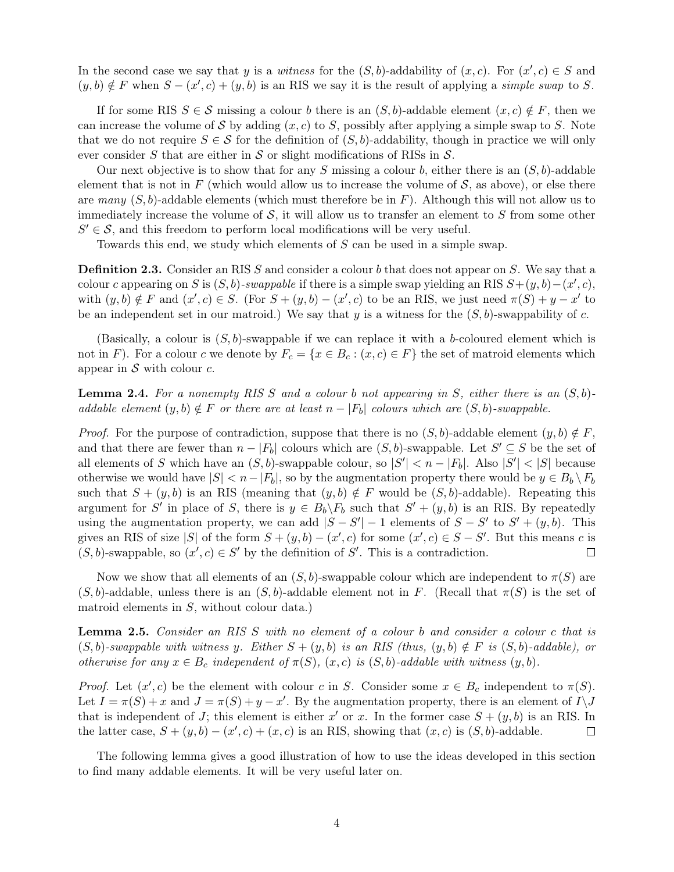In the second case we say that y is a witness for the  $(S, b)$ -addability of  $(x, c)$ . For  $(x', c) \in S$  and  $(y, b) \notin F$  when  $S - (x', c) + (y, b)$  is an RIS we say it is the result of applying a simple swap to S.

If for some RIS  $S \in \mathcal{S}$  missing a colour b there is an  $(S, b)$ -addable element  $(x, c) \notin F$ , then we can increase the volume of S by adding  $(x, c)$  to S, possibly after applying a simple swap to S. Note that we do not require  $S \in \mathcal{S}$  for the definition of  $(S, b)$ -addability, though in practice we will only ever consider S that are either in S or slight modifications of RISs in  $S$ .

Our next objective is to show that for any S missing a colour b, either there is an  $(S, b)$ -addable element that is not in F (which would allow us to increase the volume of  $S$ , as above), or else there are many  $(S, b)$ -addable elements (which must therefore be in F). Although this will not allow us to immediately increase the volume of  $S$ , it will allow us to transfer an element to  $S$  from some other  $S' \in \mathcal{S}$ , and this freedom to perform local modifications will be very useful.

Towards this end, we study which elements of S can be used in a simple swap.

**Definition 2.3.** Consider an RIS S and consider a colour b that does not appear on S. We say that a colour c appearing on S is  $(S, b)$ -swappable if there is a simple swap yielding an RIS  $S+(y, b)-(x', c)$ , with  $(y, b) \notin F$  and  $(x', c) \in S$ . (For  $S + (y, b) - (x', c)$  to be an RIS, we just need  $\pi(S) + y - x'$  to be an independent set in our matroid.) We say that y is a witness for the  $(S, b)$ -swappability of c.

(Basically, a colour is  $(S, b)$ -swappable if we can replace it with a b-coloured element which is not in F). For a colour c we denote by  $F_c = \{x \in B_c : (x, c) \in F\}$  the set of matroid elements which appear in  $S$  with colour  $c$ .

<span id="page-3-0"></span>**Lemma 2.4.** For a nonempty RIS S and a colour b not appearing in S, either there is an  $(S, b)$ addable element  $(y, b) \notin F$  or there are at least  $n - |F_b|$  colours which are  $(S, b)$ -swappable.

*Proof.* For the purpose of contradiction, suppose that there is no  $(S, b)$ -addable element  $(y, b) \notin F$ , and that there are fewer than  $n - |F_b|$  colours which are  $(S, b)$ -swappable. Let  $S' \subseteq S$  be the set of all elements of S which have an  $(S, b)$ -swappable colour, so  $|S'| < n - |F_b|$ . Also  $|S'| < |S|$  because otherwise we would have  $|S| < n - |F_b|$ , so by the augmentation property there would be  $y \in B_b \backslash F_b$ such that  $S + (y, b)$  is an RIS (meaning that  $(y, b) \notin F$  would be  $(S, b)$ -addable). Repeating this argument for S' in place of S, there is  $y \in B_b \backslash F_b$  such that  $S' + (y, b)$  is an RIS. By repeatedly using the augmentation property, we can add  $|S - S'|-1$  elements of  $S - S'$  to  $S' + (y, b)$ . This gives an RIS of size |S| of the form  $S + (y, b) - (x', c)$  for some  $(x', c) \in S - S'$ . But this means c is  $(S, b)$ -swappable, so  $(x', c) \in S'$  by the definition of S'. This is a contradiction.  $\Box$ 

Now we show that all elements of an  $(S, b)$ -swappable colour which are independent to  $\pi(S)$  are  $(S, b)$ -addable, unless there is an  $(S, b)$ -addable element not in F. (Recall that  $\pi(S)$ ) is the set of matroid elements in S, without colour data.)

<span id="page-3-1"></span>Lemma 2.5. Consider an RIS S with no element of a colour b and consider a colour c that is  $(S, b)$ -swappable with witness y. Either  $S + (y, b)$  is an RIS (thus,  $(y, b) \notin F$  is  $(S, b)$ -addable), or otherwise for any  $x \in B_c$  independent of  $\pi(S)$ ,  $(x, c)$  is  $(S, b)$ -addable with witness  $(y, b)$ .

*Proof.* Let  $(x', c)$  be the element with colour c in S. Consider some  $x \in B_c$  independent to  $\pi(S)$ . Let  $I = \pi(S) + x$  and  $J = \pi(S) + y - x'$ . By the augmentation property, there is an element of  $I \setminus J$ that is independent of J; this element is either x' or x. In the former case  $S + (y, b)$  is an RIS. In the latter case,  $S + (y, b) - (x', c) + (x, c)$  is an RIS, showing that  $(x, c)$  is  $(S, b)$ -addable.  $\Box$ 

<span id="page-3-2"></span>The following lemma gives a good illustration of how to use the ideas developed in this section to find many addable elements. It will be very useful later on.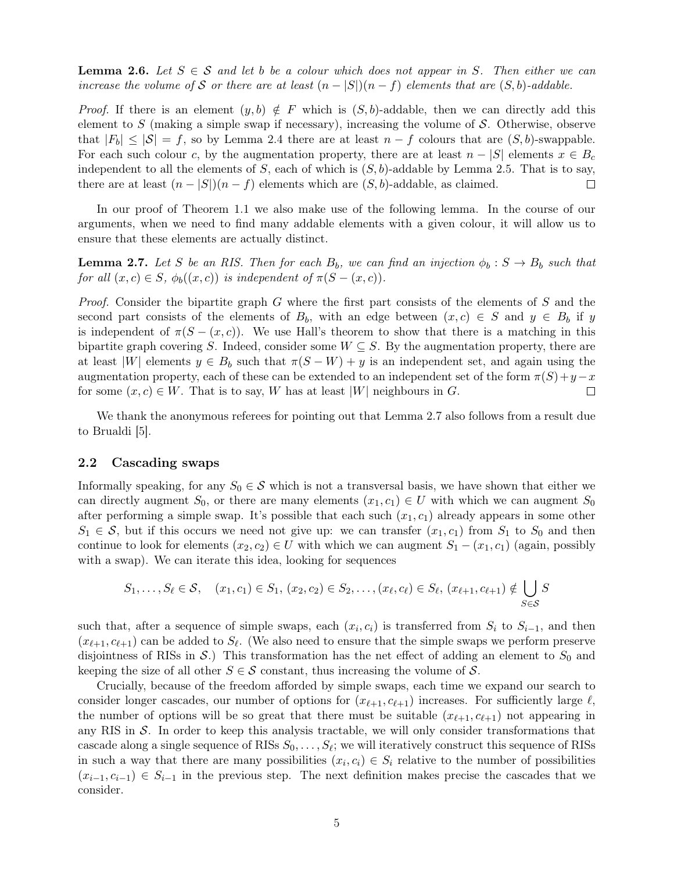**Lemma 2.6.** Let  $S \in \mathcal{S}$  and let b be a colour which does not appear in S. Then either we can increase the volume of S or there are at least  $(n - |S|)(n - f)$  elements that are  $(S, b)$ -addable.

*Proof.* If there is an element  $(y, b) \notin F$  which is  $(S, b)$ -addable, then we can directly add this element to S (making a simple swap if necessary), increasing the volume of  $S$ . Otherwise, observe that  $|F_b| \leq |\mathcal{S}| = f$ , so by [Lemma 2.4](#page-3-0) there are at least  $n - f$  colours that are  $(S, b)$ -swappable. For each such colour c, by the augmentation property, there are at least  $n - |S|$  elements  $x \in B_c$ independent to all the elements of S, each of which is  $(S, b)$ -addable by [Lemma 2.5.](#page-3-1) That is to say, there are at least  $(n - |S|)(n - f)$  elements which are  $(S, b)$ -addable, as claimed.  $\Box$ 

In our proof of [Theorem 1.1](#page-1-0) we also make use of the following lemma. In the course of our arguments, when we need to find many addable elements with a given colour, it will allow us to ensure that these elements are actually distinct.

<span id="page-4-0"></span>**Lemma 2.7.** Let S be an RIS. Then for each  $B_b$ , we can find an injection  $\phi_b : S \to B_b$  such that for all  $(x, c) \in S$ ,  $\phi_b((x, c))$  is independent of  $\pi(S - (x, c))$ .

*Proof.* Consider the bipartite graph G where the first part consists of the elements of  $S$  and the second part consists of the elements of  $B_b$ , with an edge between  $(x, c) \in S$  and  $y \in B_b$  if y is independent of  $\pi(S - (x, c))$ . We use Hall's theorem to show that there is a matching in this bipartite graph covering S. Indeed, consider some  $W \subseteq S$ . By the augmentation property, there are at least |W| elements  $y \in B_b$  such that  $\pi(S - W) + y$  is an independent set, and again using the augmentation property, each of these can be extended to an independent set of the form  $\pi(S)+y-x$ for some  $(x, c) \in W$ . That is to say, W has at least |W| neighbours in G.  $\Box$ 

We thank the anonymous referees for pointing out that [Lemma 2.7](#page-4-0) also follows from a result due to Brualdi [\[5\]](#page-11-7).

### 2.2 Cascading swaps

Informally speaking, for any  $S_0 \in \mathcal{S}$  which is not a transversal basis, we have shown that either we can directly augment  $S_0$ , or there are many elements  $(x_1, c_1) \in U$  with which we can augment  $S_0$ after performing a simple swap. It's possible that each such  $(x_1, c_1)$  already appears in some other  $S_1 \in \mathcal{S}$ , but if this occurs we need not give up: we can transfer  $(x_1, c_1)$  from  $S_1$  to  $S_0$  and then continue to look for elements  $(x_2, c_2) \in U$  with which we can augment  $S_1 - (x_1, c_1)$  (again, possibly with a swap). We can iterate this idea, looking for sequences

$$
S_1, \ldots, S_\ell \in \mathcal{S}, \quad (x_1, c_1) \in S_1, (x_2, c_2) \in S_2, \ldots, (x_\ell, c_\ell) \in S_\ell, (x_{\ell+1}, c_{\ell+1}) \notin \bigcup_{S \in \mathcal{S}} S
$$

such that, after a sequence of simple swaps, each  $(x_i, c_i)$  is transferred from  $S_i$  to  $S_{i-1}$ , and then  $(x_{\ell+1}, c_{\ell+1})$  can be added to  $S_{\ell}$ . (We also need to ensure that the simple swaps we perform preserve disjointness of RISs in  $\mathcal{S}$ .) This transformation has the net effect of adding an element to  $S_0$  and keeping the size of all other  $S \in \mathcal{S}$  constant, thus increasing the volume of  $\mathcal{S}$ .

Crucially, because of the freedom afforded by simple swaps, each time we expand our search to consider longer cascades, our number of options for  $(x_{\ell+1}, c_{\ell+1})$  increases. For sufficiently large  $\ell$ , the number of options will be so great that there must be suitable  $(x_{\ell+1}, c_{\ell+1})$  not appearing in any RIS in  $\mathcal{S}$ . In order to keep this analysis tractable, we will only consider transformations that cascade along a single sequence of RISs  $S_0, \ldots, S_\ell$ ; we will iteratively construct this sequence of RISs in such a way that there are many possibilities  $(x_i, c_i) \in S_i$  relative to the number of possibilities  $(x_{i-1}, c_{i-1}) \in S_{i-1}$  in the previous step. The next definition makes precise the cascades that we consider.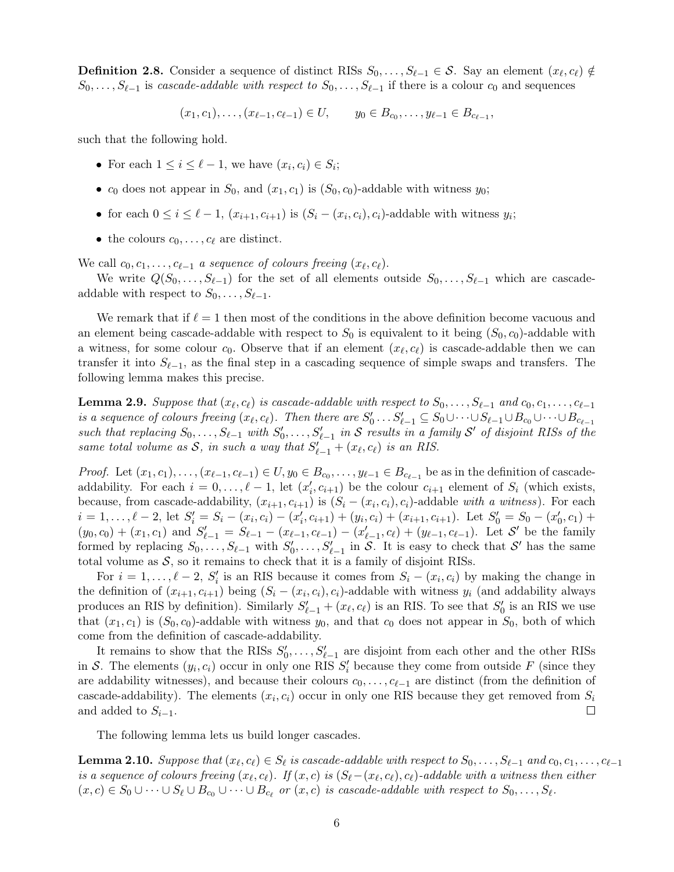**Definition 2.8.** Consider a sequence of distinct RISs  $S_0, \ldots, S_{\ell-1} \in \mathcal{S}$ . Say an element  $(x_{\ell}, c_{\ell}) \notin$  $S_0, \ldots, S_{\ell-1}$  is cascade-addable with respect to  $S_0, \ldots, S_{\ell-1}$  if there is a colour  $c_0$  and sequences

$$
(x_1, c_1), \ldots, (x_{\ell-1}, c_{\ell-1}) \in U
$$
,  $y_0 \in B_{c_0}, \ldots, y_{\ell-1} \in B_{c_{\ell-1}}$ ,

such that the following hold.

- For each  $1 \leq i \leq \ell 1$ , we have  $(x_i, c_i) \in S_i$ ;
- $c_0$  does not appear in  $S_0$ , and  $(x_1, c_1)$  is  $(S_0, c_0)$ -addable with witness  $y_0$ ;
- for each  $0 \leq i \leq \ell 1$ ,  $(x_{i+1}, c_{i+1})$  is  $(S_i (x_i, c_i), c_i)$ -addable with witness  $y_i$ ;
- the colours  $c_0, \ldots, c_\ell$  are distinct.

We call  $c_0, c_1, \ldots, c_{\ell-1}$  a sequence of colours freeing  $(x_{\ell}, c_{\ell}).$ 

We write  $Q(S_0, \ldots, S_{\ell-1})$  for the set of all elements outside  $S_0, \ldots, S_{\ell-1}$  which are cascadeaddable with respect to  $S_0, \ldots, S_{\ell-1}$ .

We remark that if  $\ell = 1$  then most of the conditions in the above definition become vacuous and an element being cascade-addable with respect to  $S_0$  is equivalent to it being  $(S_0, c_0)$ -addable with a witness, for some colour  $c_0$ . Observe that if an element  $(x_\ell, c_\ell)$  is cascade-addable then we can transfer it into  $S_{\ell-1}$ , as the final step in a cascading sequence of simple swaps and transfers. The following lemma makes this precise.

<span id="page-5-0"></span>**Lemma 2.9.** Suppose that  $(x_{\ell}, c_{\ell})$  is cascade-addable with respect to  $S_0, \ldots, S_{\ell-1}$  and  $c_0, c_1, \ldots, c_{\ell-1}$ is a sequence of colours freeing  $(x_\ell, c_\ell)$ . Then there are  $S'_0 \dots S'_{\ell-1} \subseteq S_0 \cup \dots \cup S_{\ell-1} \cup B_{c_0} \cup \dots \cup B_{c_{\ell-1}}$ such that replacing  $S_0, \ldots, S_{\ell-1}$  with  $S'_0, \ldots, S'_{\ell-1}$  in S results in a family S' of disjoint RISs of the same total volume as S, in such a way that  $S'_{\ell-1} + (x_{\ell}, c_{\ell})$  is an RIS.

*Proof.* Let  $(x_1, c_1), \ldots, (x_{\ell-1}, c_{\ell-1}) \in U$ ,  $y_0 \in B_{c_0}, \ldots, y_{\ell-1} \in B_{c_{\ell-1}}$  be as in the definition of cascadeaddability. For each  $i = 0, \ldots, \ell - 1$ , let  $(x'_i, c_{i+1})$  be the colour  $c_{i+1}$  element of  $S_i$  (which exists, because, from cascade-addability,  $(x_{i+1}, c_{i+1})$  is  $(S_i - (x_i, c_i), c_i)$ -addable with a witness). For each  $i = 1, \ldots, \ell - 2$ , let  $S_i' = S_i - (x_i, c_i) - (x_i', c_{i+1}) + (y_i, c_i) + (x_{i+1}, c_{i+1})$ . Let  $S_0' = S_0 - (x_0', c_1) +$  $(y_0, c_0) + (x_1, c_1)$  and  $S'_{\ell-1} = S_{\ell-1} - (x_{\ell-1}, c_{\ell-1}) - (x'_{\ell-1}, c_{\ell}) + (y_{\ell-1}, c_{\ell-1})$ . Let S' be the family formed by replacing  $S_0, \ldots, S_{\ell-1}$  with  $S'_0, \ldots, S'_{\ell-1}$  in  $\mathcal{S}$ . It is easy to check that  $\mathcal{S}'$  has the same total volume as  $S$ , so it remains to check that it is a family of disjoint RISs.

For  $i = 1, \ldots, \ell - 2$ ,  $S_i'$  is an RIS because it comes from  $S_i - (x_i, c_i)$  by making the change in the definition of  $(x_{i+1}, c_{i+1})$  being  $(S_i - (x_i, c_i), c_i)$ -addable with witness  $y_i$  (and addability always produces an RIS by definition). Similarly  $S'_{\ell-1} + (x_{\ell}, c_{\ell})$  is an RIS. To see that  $S'_{0}$  is an RIS we use that  $(x_1, c_1)$  is  $(S_0, c_0)$ -addable with witness  $y_0$ , and that  $c_0$  does not appear in  $S_0$ , both of which come from the definition of cascade-addability.

It remains to show that the RISs  $S'_0, \ldots, S'_{\ell-1}$  are disjoint from each other and the other RISs in S. The elements  $(y_i, c_i)$  occur in only one RIS  $S_i$  because they come from outside F (since they are addability witnesses), and because their colours  $c_0, \ldots, c_{\ell-1}$  are distinct (from the definition of cascade-addability). The elements  $(x_i, c_i)$  occur in only one RIS because they get removed from  $S_i$ and added to  $S_{i-1}$ .  $\Box$ 

The following lemma lets us build longer cascades.

<span id="page-5-1"></span>**Lemma 2.10.** Suppose that  $(x_\ell, c_\ell) \in S_\ell$  is cascade-addable with respect to  $S_0, \ldots, S_{\ell-1}$  and  $c_0, c_1, \ldots, c_{\ell-1}$ is a sequence of colours freeing  $(x_\ell, c_\ell)$ . If  $(x, c)$  is  $(S_\ell - (x_\ell, c_\ell), c_\ell)$ -addable with a witness then either  $(x, c) \in S_0 \cup \cdots \cup S_\ell \cup B_{c_0} \cup \cdots \cup B_{c_\ell}$  or  $(x, c)$  is cascade-addable with respect to  $S_0, \ldots, S_\ell$ .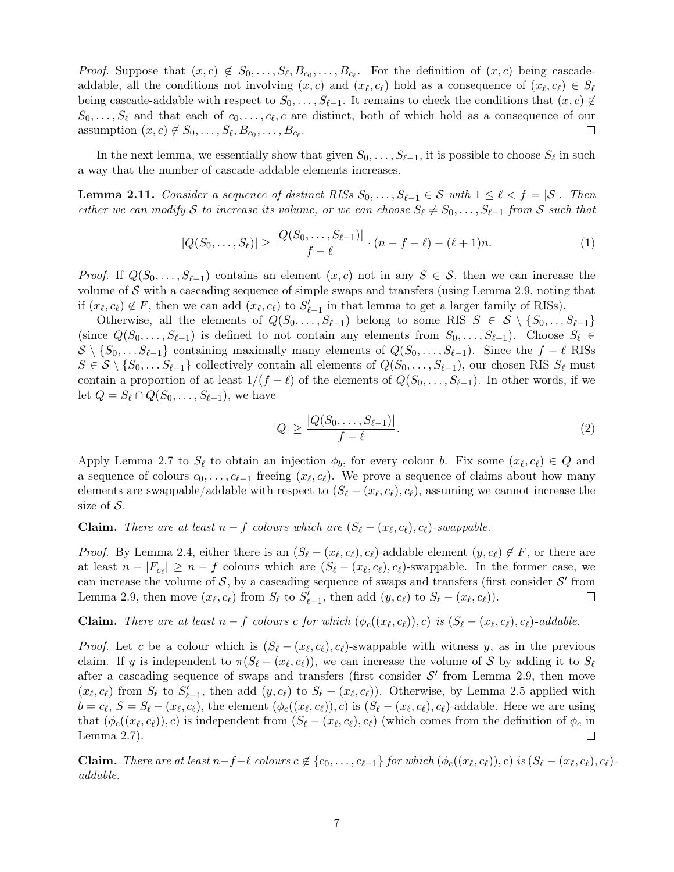*Proof.* Suppose that  $(x, c) \notin S_0, \ldots, S_\ell, B_{c_0}, \ldots, B_{c_\ell}$ . For the definition of  $(x, c)$  being cascadeaddable, all the conditions not involving  $(x, c)$  and  $(x_{\ell}, c_{\ell})$  hold as a consequence of  $(x_{\ell}, c_{\ell}) \in S_{\ell}$ being cascade-addable with respect to  $S_0, \ldots, S_{\ell-1}$ . It remains to check the conditions that  $(x, c) \notin$  $S_0, \ldots, S_\ell$  and that each of  $c_0, \ldots, c_\ell, c$  are distinct, both of which hold as a consequence of our assumption  $(x, c) \notin S_0, \ldots, S_\ell, B_{c_0}, \ldots, B_{c_\ell}$ .  $\Box$ 

In the next lemma, we essentially show that given  $S_0, \ldots, S_{\ell-1}$ , it is possible to choose  $S_{\ell}$  in such a way that the number of cascade-addable elements increases.

<span id="page-6-1"></span>**Lemma 2.11.** Consider a sequence of distinct RISs  $S_0, \ldots, S_{\ell-1} \in S$  with  $1 \leq \ell < f = |\mathcal{S}|$ . Then either we can modify S to increase its volume, or we can choose  $S_{\ell} \neq S_0, \ldots, S_{\ell-1}$  from S such that

<span id="page-6-2"></span>
$$
|Q(S_0, \ldots, S_\ell)| \ge \frac{|Q(S_0, \ldots, S_{\ell-1})|}{f - \ell} \cdot (n - f - \ell) - (\ell + 1)n. \tag{1}
$$

*Proof.* If  $Q(S_0, \ldots, S_{\ell-1})$  contains an element  $(x, c)$  not in any  $S \in \mathcal{S}$ , then we can increase the volume of  $S$  with a cascading sequence of simple swaps and transfers (using [Lemma 2.9,](#page-5-0) noting that if  $(x_{\ell}, c_{\ell}) \notin F$ , then we can add  $(x_{\ell}, c_{\ell})$  to  $S'_{\ell-1}$  in that lemma to get a larger family of RISs).

Otherwise, all the elements of  $Q(S_0, \ldots, S_{\ell-1})$  belong to some RIS  $S \in S \setminus \{S_0, \ldots S_{\ell-1}\}\$ (since  $Q(S_0, \ldots, S_{\ell-1})$  is defined to not contain any elements from  $S_0, \ldots, S_{\ell-1}$ ). Choose  $S_{\ell} \in$  $S \setminus \{S_0, \ldots S_{\ell-1}\}\$ containing maximally many elements of  $Q(S_0, \ldots, S_{\ell-1})$ . Since the f −  $\ell$  RISs  $S \in \mathcal{S} \setminus \{S_0, \ldots S_{\ell-1}\}\$ collectively contain all elements of  $Q(S_0, \ldots, S_{\ell-1})$ , our chosen RIS  $S_{\ell}$  must contain a proportion of at least  $1/(f - \ell)$  of the elements of  $Q(S_0, \ldots, S_{\ell-1})$ . In other words, if we let  $Q = S_{\ell} \cap Q(S_0, \ldots, S_{\ell-1}),$  we have

<span id="page-6-0"></span>
$$
|Q| \ge \frac{|Q(S_0, \dots, S_{\ell-1})|}{f - \ell}.\tag{2}
$$

Apply [Lemma 2.7](#page-4-0) to  $S_{\ell}$  to obtain an injection  $\phi_b$ , for every colour b. Fix some  $(x_{\ell}, c_{\ell}) \in Q$  and a sequence of colours  $c_0, \ldots, c_{\ell-1}$  freeing  $(x_{\ell}, c_{\ell})$ . We prove a sequence of claims about how many elements are swappable/addable with respect to  $(S_{\ell} - (x_{\ell}, c_{\ell}), c_{\ell})$ , assuming we cannot increase the size of  $S$ .

**Claim.** There are at least  $n - f$  colours which are  $(S_{\ell} - (x_{\ell}, c_{\ell}), c_{\ell})$ -swappable.

*Proof.* By [Lemma 2.4,](#page-3-0) either there is an  $(S_{\ell} - (x_{\ell}, c_{\ell}), c_{\ell})$ -addable element  $(y, c_{\ell}) \notin F$ , or there are at least  $n - |F_{c_\ell}| \geq n - f$  colours which are  $(S_\ell - (x_\ell, c_\ell), c_\ell)$ -swappable. In the former case, we can increase the volume of S, by a cascading sequence of swaps and transfers (first consider  $\mathcal{S}'$  from [Lemma 2.9,](#page-5-0) then move  $(x_{\ell}, c_{\ell})$  from  $S_{\ell}$  to  $S'_{\ell-1}$ , then add  $(y, c_{\ell})$  to  $S_{\ell} - (x_{\ell}, c_{\ell})$ .  $\Box$ 

**Claim.** There are at least  $n - f$  colours c for which  $(\phi_c((x_\ell, c_\ell)), c)$  is  $(S_\ell - (x_\ell, c_\ell), c_\ell)$ -addable.

*Proof.* Let c be a colour which is  $(S_\ell - (x_\ell, c_\ell), c_\ell)$ -swappable with witness y, as in the previous claim. If y is independent to  $\pi(S_\ell - (x_\ell, c_\ell))$ , we can increase the volume of S by adding it to  $S_\ell$ after a cascading sequence of swaps and transfers (first consider  $S'$  from [Lemma 2.9,](#page-5-0) then move  $(x_{\ell}, c_{\ell})$  from  $S_{\ell}$  to  $S'_{\ell-1}$ , then add  $(y, c_{\ell})$  to  $S_{\ell} - (x_{\ell}, c_{\ell})$ ). Otherwise, by [Lemma 2.5](#page-3-1) applied with  $b = c_{\ell}, S = S_{\ell} - (x_{\ell}, c_{\ell}),$  the element  $(\phi_c((x_{\ell}, c_{\ell})), c)$  is  $(S_{\ell} - (x_{\ell}, c_{\ell}), c_{\ell})$ -addable. Here we are using that  $(\phi_c((x_\ell, c_\ell)), c)$  is independent from  $(S_\ell - (x_\ell, c_\ell), c_\ell)$  (which comes from the definition of  $\phi_c$  in [Lemma 2.7\)](#page-4-0). П

**Claim.** There are at least  $n-f-\ell$  colours  $c \notin \{c_0, \ldots, c_{\ell-1}\}$  for which  $(\phi_c((x_\ell, c_\ell)), c)$  is  $(S_\ell - (x_\ell, c_\ell), c_\ell)$ addable.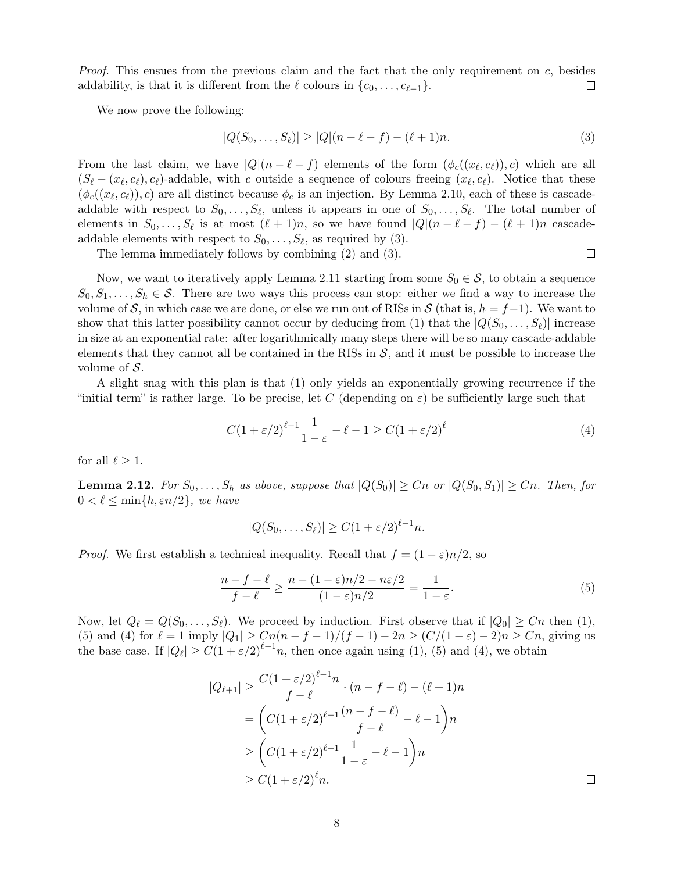*Proof.* This ensues from the previous claim and the fact that the only requirement on  $c$ , besides addability, is that it is different from the  $\ell$  colours in  $\{c_0, \ldots, c_{\ell-1}\}.$  $\Box$ 

We now prove the following:

<span id="page-7-0"></span>
$$
|Q(S_0, \dots, S_\ell)| \ge |Q|(n - \ell - f) - (\ell + 1)n. \tag{3}
$$

 $\Box$ 

From the last claim, we have  $|Q|(n-\ell-f)$  elements of the form  $(\phi_c((x_\ell, c_\ell)), c)$  which are all  $(S_{\ell} - (x_{\ell}, c_{\ell}), c_{\ell})$ -addable, with c outside a sequence of colours freeing  $(x_{\ell}, c_{\ell})$ . Notice that these  $(\phi_c((x_\ell, c_\ell)), c)$  are all distinct because  $\phi_c$  is an injection. By [Lemma 2.10,](#page-5-1) each of these is cascadeaddable with respect to  $S_0, \ldots, S_\ell$ , unless it appears in one of  $S_0, \ldots, S_\ell$ . The total number of elements in  $S_0, \ldots, S_\ell$  is at most  $(\ell + 1)n$ , so we have found  $|Q|(n - \ell - f) - (\ell + 1)n$  cascadeaddable elements with respect to  $S_0, \ldots, S_\ell$ , as required by [\(3\).](#page-7-0)

The lemma immediately follows by combining [\(2\)](#page-6-0) and [\(3\).](#page-7-0)

Now, we want to iteratively apply [Lemma 2.11](#page-6-1) starting from some  $S_0 \in \mathcal{S}$ , to obtain a sequence  $S_0, S_1, \ldots, S_h \in \mathcal{S}$ . There are two ways this process can stop: either we find a way to increase the volume of S, in which case we are done, or else we run out of RISs in  $S$  (that is,  $h = f-1$ ). We want to show that this latter possibility cannot occur by deducing from [\(1\)](#page-6-2) that the  $|Q(S_0, \ldots, S_\ell)|$  increase in size at an exponential rate: after logarithmically many steps there will be so many cascade-addable elements that they cannot all be contained in the RISs in  $S$ , and it must be possible to increase the volume of  $S$ .

A slight snag with this plan is that [\(1\)](#page-6-2) only yields an exponentially growing recurrence if the "initial term" is rather large. To be precise, let C (depending on  $\varepsilon$ ) be sufficiently large such that

<span id="page-7-2"></span>
$$
C(1 + \varepsilon/2)^{\ell-1} \frac{1}{1-\varepsilon} - \ell - 1 \ge C(1 + \varepsilon/2)^{\ell}
$$
 (4)

<span id="page-7-3"></span>for all  $\ell \geq 1$ .

**Lemma 2.12.** For  $S_0, \ldots, S_h$  as above, suppose that  $|Q(S_0)| \geq Cn$  or  $|Q(S_0, S_1)| \geq Cn$ . Then, for  $0 < \ell \leq \min\{h, \varepsilon n/2\}$ , we have

$$
|Q(S_0,\ldots,S_\ell)| \ge C(1+\varepsilon/2)^{\ell-1}n.
$$

*Proof.* We first establish a technical inequality. Recall that  $f = (1 - \varepsilon)n/2$ , so

<span id="page-7-1"></span>
$$
\frac{n-f-\ell}{f-\ell} \ge \frac{n-(1-\varepsilon)n/2 - n\varepsilon/2}{(1-\varepsilon)n/2} = \frac{1}{1-\varepsilon}.\tag{5}
$$

Now, let  $Q_\ell = Q(S_0, \ldots, S_\ell)$ . We proceed by induction. First observe that if  $|Q_0| \geq Cn$  then [\(1\),](#page-6-2) [\(5\)](#page-7-1) and [\(4\)](#page-7-2) for  $\ell = 1$  imply  $|Q_1| \geq Cn(n - f - 1)/(f - 1) - 2n \geq (C/(1 - \varepsilon) - 2)n \geq Cn$ , giving us the base case. If  $|Q_\ell| \ge C(1+\varepsilon/2)^{\ell-1}n$ , then once again using [\(1\),](#page-6-2) [\(5\)](#page-7-1) and [\(4\),](#page-7-2) we obtain

$$
|Q_{\ell+1}| \geq \frac{C(1+\varepsilon/2)^{\ell-1}n}{f-\ell} \cdot (n-f-\ell) - (\ell+1)n
$$
  
= 
$$
\left(C(1+\varepsilon/2)^{\ell-1}\frac{(n-f-\ell)}{f-\ell} - \ell - 1\right)n
$$
  

$$
\geq \left(C(1+\varepsilon/2)^{\ell-1}\frac{1}{1-\varepsilon} - \ell - 1\right)n
$$
  

$$
\geq C(1+\varepsilon/2)^{\ell}n.
$$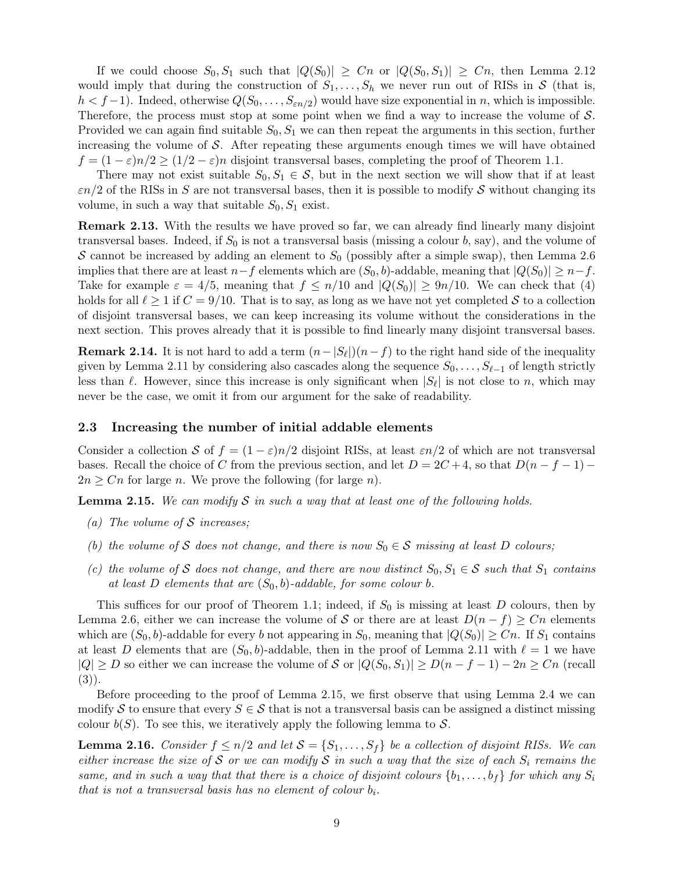If we could choose  $S_0, S_1$  such that  $|Q(S_0)| \geq Cn$  or  $|Q(S_0, S_1)| \geq Cn$ , then [Lemma 2.12](#page-7-3) would imply that during the construction of  $S_1, \ldots, S_h$  we never run out of RISs in S (that is,  $h < f-1$ ). Indeed, otherwise  $Q(S_0, \ldots, S_{\varepsilon n/2})$  would have size exponential in n, which is impossible. Therefore, the process must stop at some point when we find a way to increase the volume of S. Provided we can again find suitable  $S_0, S_1$  we can then repeat the arguments in this section, further increasing the volume of  $\mathcal S$ . After repeating these arguments enough times we will have obtained  $f = (1 - \varepsilon)n/2 \ge (1/2 - \varepsilon)n$  disjoint transversal bases, completing the proof of [Theorem 1.1.](#page-1-0)

There may not exist suitable  $S_0, S_1 \in \mathcal{S}$ , but in the next section we will show that if at least  $\varepsilon$ n/2 of the RISs in S are not transversal bases, then it is possible to modify S without changing its volume, in such a way that suitable  $S_0, S_1$  exist.

<span id="page-8-0"></span>Remark 2.13. With the results we have proved so far, we can already find linearly many disjoint transversal bases. Indeed, if  $S_0$  is not a transversal basis (missing a colour b, say), and the volume of S cannot be increased by adding an element to  $S_0$  (possibly after a simple swap), then [Lemma 2.6](#page-3-2) implies that there are at least  $n-f$  elements which are  $(S_0, b)$ -addable, meaning that  $|Q(S_0)| \geq n-f$ . Take for example  $\varepsilon = 4/5$ , meaning that  $f \le n/10$  and  $|Q(S_0)| \ge 9n/10$ . We can check that [\(4\)](#page-7-2) holds for all  $\ell \ge 1$  if  $C = 9/10$ . That is to say, as long as we have not yet completed S to a collection of disjoint transversal bases, we can keep increasing its volume without the considerations in the next section. This proves already that it is possible to find linearly many disjoint transversal bases.

**Remark 2.14.** It is not hard to add a term  $(n - |S_\ell|)(n - f)$  to the right hand side of the inequality given by [Lemma 2.11](#page-6-1) by considering also cascades along the sequence  $S_0, \ldots, S_{\ell-1}$  of length strictly less than  $\ell$ . However, since this increase is only significant when  $|S_{\ell}|$  is not close to n, which may never be the case, we omit it from our argument for the sake of readability.

### <span id="page-8-1"></span>2.3 Increasing the number of initial addable elements

Consider a collection S of  $f = (1 - \varepsilon)n/2$  disjoint RISs, at least  $\varepsilon n/2$  of which are not transversal bases. Recall the choice of C from the previous section, and let  $D = 2C + 4$ , so that  $D(n - f - 1)$  $2n \geq Cn$  for large n. We prove the following (for large n).

<span id="page-8-2"></span>**Lemma 2.15.** We can modify S in such a way that at least one of the following holds.

- (a) The volume of  $S$  increases;
- (b) the volume of S does not change, and there is now  $S_0 \in S$  missing at least D colours;
- (c) the volume of S does not change, and there are now distinct  $S_0, S_1 \in S$  such that  $S_1$  contains at least D elements that are  $(S_0, b)$ -addable, for some colour b.

This suffices for our proof of [Theorem 1.1;](#page-1-0) indeed, if  $S_0$  is missing at least D colours, then by [Lemma 2.6,](#page-3-2) either we can increase the volume of S or there are at least  $D(n - f) \geq Cn$  elements which are  $(S_0, b)$ -addable for every b not appearing in  $S_0$ , meaning that  $|Q(S_0)| \geq Cn$ . If  $S_1$  contains at least D elements that are  $(S_0, b)$ -addable, then in the proof of [Lemma 2.11](#page-6-1) with  $\ell = 1$  we have  $|Q| \ge D$  so either we can increase the volume of S or  $|Q(S_0, S_1)| \ge D(n - f - 1) - 2n \ge Cn$  (recall [\(3\)\)](#page-7-0).

Before proceeding to the proof of [Lemma 2.15,](#page-8-2) we first observe that using [Lemma 2.4](#page-3-0) we can modify S to ensure that every  $S \in \mathcal{S}$  that is not a transversal basis can be assigned a distinct missing colour  $b(S)$ . To see this, we iteratively apply the following lemma to S.

<span id="page-8-3"></span>**Lemma 2.16.** Consider  $f \leq n/2$  and let  $S = \{S_1, \ldots, S_f\}$  be a collection of disjoint RISs. We can either increase the size of S or we can modify S in such a way that the size of each  $S_i$  remains the same, and in such a way that that there is a choice of disjoint colours  $\{b_1, \ldots, b_f\}$  for which any  $S_i$ that is not a transversal basis has no element of colour  $b_i$ .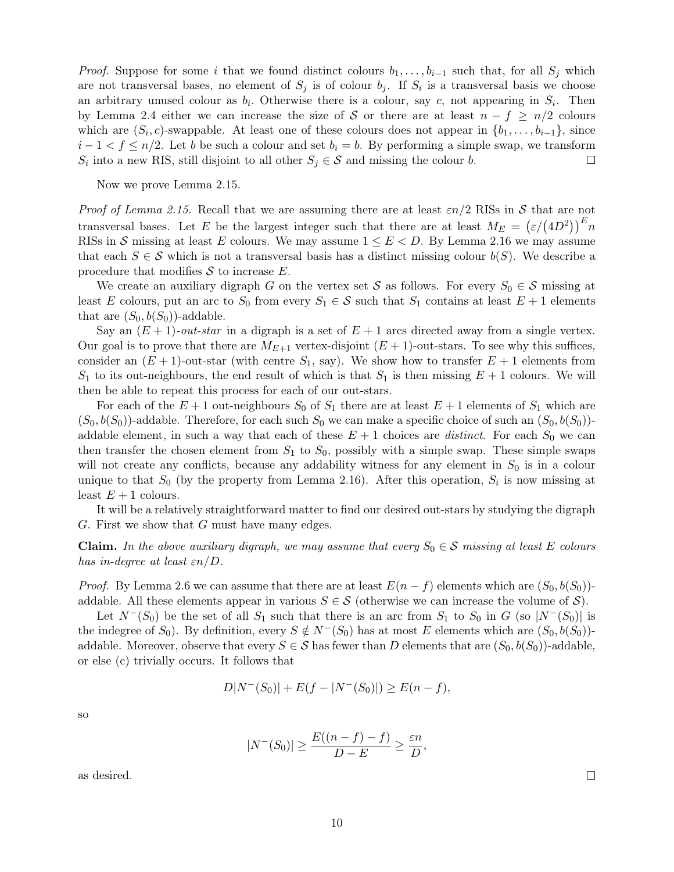*Proof.* Suppose for some i that we found distinct colours  $b_1, \ldots, b_{i-1}$  such that, for all  $S_i$  which are not transversal bases, no element of  $S_j$  is of colour  $b_j$ . If  $S_i$  is a transversal basis we choose an arbitrary unused colour as  $b_i$ . Otherwise there is a colour, say c, not appearing in  $S_i$ . Then by [Lemma 2.4](#page-3-0) either we can increase the size of S or there are at least  $n - f \geq n/2$  colours which are  $(S_i, c)$ -swappable. At least one of these colours does not appear in  $\{b_1, \ldots, b_{i-1}\}$ , since  $i-1 < f \leq n/2$ . Let b be such a colour and set  $b_i = b$ . By performing a simple swap, we transform  $S_i$  into a new RIS, still disjoint to all other  $S_j \in \mathcal{S}$  and missing the colour b.  $\Box$ 

Now we prove [Lemma 2.15.](#page-8-2)

Proof of [Lemma 2.15.](#page-8-2) Recall that we are assuming there are at least  $\varepsilon n/2$  RISs in S that are not transversal bases. Let E be the largest integer such that there are at least  $M_E = (\varepsilon/(4D^2))^E n$ RISs in S missing at least E colours. We may assume  $1 \le E < D$ . By [Lemma 2.16](#page-8-3) we may assume that each  $S \in \mathcal{S}$  which is not a transversal basis has a distinct missing colour  $b(S)$ . We describe a procedure that modifies  $S$  to increase  $E$ .

We create an auxiliary digraph G on the vertex set S as follows. For every  $S_0 \in \mathcal{S}$  missing at least E colours, put an arc to  $S_0$  from every  $S_1 \in \mathcal{S}$  such that  $S_1$  contains at least  $E + 1$  elements that are  $(S_0, b(S_0))$ -addable.

Say an  $(E + 1)$ -*out-star* in a digraph is a set of  $E + 1$  arcs directed away from a single vertex. Our goal is to prove that there are  $M_{E+1}$  vertex-disjoint  $(E+1)$ -out-stars. To see why this suffices, consider an  $(E + 1)$ -out-star (with centre  $S_1$ , say). We show how to transfer  $E + 1$  elements from  $S_1$  to its out-neighbours, the end result of which is that  $S_1$  is then missing  $E + 1$  colours. We will then be able to repeat this process for each of our out-stars.

For each of the  $E + 1$  out-neighbours  $S_0$  of  $S_1$  there are at least  $E + 1$  elements of  $S_1$  which are  $(S_0, b(S_0))$ -addable. Therefore, for each such  $S_0$  we can make a specific choice of such an  $(S_0, b(S_0))$ addable element, in such a way that each of these  $E + 1$  choices are *distinct*. For each  $S_0$  we can then transfer the chosen element from  $S_1$  to  $S_0$ , possibly with a simple swap. These simple swaps will not create any conflicts, because any addability witness for any element in  $S_0$  is in a colour unique to that  $S_0$  (by the property from [Lemma 2.16\)](#page-8-3). After this operation,  $S_i$  is now missing at least  $E + 1$  colours.

It will be a relatively straightforward matter to find our desired out-stars by studying the digraph G. First we show that G must have many edges.

**Claim.** In the above auxiliary digraph, we may assume that every  $S_0 \in \mathcal{S}$  missing at least E colours has in-degree at least  $\varepsilon n/D$ .

*Proof.* By [Lemma 2.6](#page-3-2) we can assume that there are at least  $E(n - f)$  elements which are  $(S_0, b(S_0))$ addable. All these elements appear in various  $S \in \mathcal{S}$  (otherwise we can increase the volume of  $\mathcal{S}$ ).

Let  $N^{-}(S_0)$  be the set of all  $S_1$  such that there is an arc from  $S_1$  to  $S_0$  in G (so  $|N^{-}(S_0)|$  is the indegree of  $S_0$ . By definition, every  $S \notin N^-(S_0)$  has at most E elements which are  $(S_0, b(S_0))$ addable. Moreover, observe that every  $S \in \mathcal{S}$  has fewer than D elements that are  $(S_0, b(S_0))$ -addable, or else (c) trivially occurs. It follows that

$$
D|N^{-}(S_0)| + E(f - |N^{-}(S_0)|) \ge E(n - f),
$$

so

$$
|N^-(S_0)| \ge \frac{E((n-f)-f)}{D-E} \ge \frac{\varepsilon n}{D},
$$

10

as desired.

 $\Box$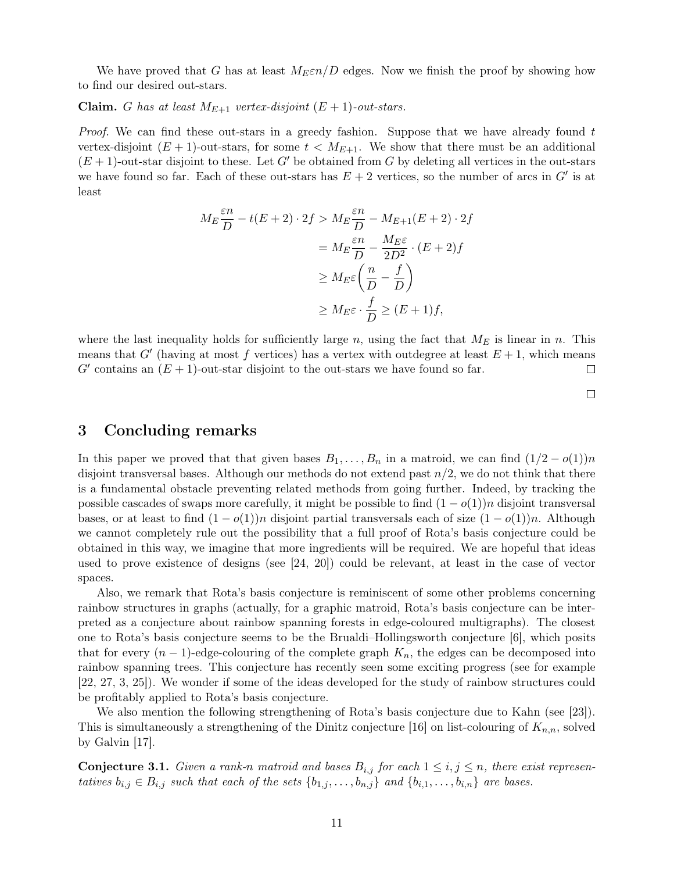We have proved that G has at least  $M_E \epsilon n/D$  edges. Now we finish the proof by showing how to find our desired out-stars.

**Claim.** G has at least  $M_{E+1}$  vertex-disjoint  $(E+1)$ -out-stars.

*Proof.* We can find these out-stars in a greedy fashion. Suppose that we have already found  $t$ vertex-disjoint  $(E + 1)$ -out-stars, for some  $t < M_{E+1}$ . We show that there must be an additional  $(E + 1)$ -out-star disjoint to these. Let G' be obtained from G by deleting all vertices in the out-stars we have found so far. Each of these out-stars has  $E + 2$  vertices, so the number of arcs in  $G'$  is at least

$$
M_E \frac{\varepsilon n}{D} - t(E+2) \cdot 2f > M_E \frac{\varepsilon n}{D} - M_{E+1}(E+2) \cdot 2f
$$
  
= 
$$
M_E \frac{\varepsilon n}{D} - \frac{M_E \varepsilon}{2D^2} \cdot (E+2)f
$$
  

$$
\geq M_E \varepsilon \left(\frac{n}{D} - \frac{f}{D}\right)
$$
  

$$
\geq M_E \varepsilon \cdot \frac{f}{D} \geq (E+1)f,
$$

where the last inequality holds for sufficiently large n, using the fact that  $M_E$  is linear in n. This means that  $G'$  (having at most f vertices) has a vertex with outdegree at least  $E + 1$ , which means  $G'$  contains an  $(E + 1)$ -out-star disjoint to the out-stars we have found so far.  $\Box$ 

## 3 Concluding remarks

In this paper we proved that that given bases  $B_1, \ldots, B_n$  in a matroid, we can find  $(1/2 - o(1))n$ disjoint transversal bases. Although our methods do not extend past  $n/2$ , we do not think that there is a fundamental obstacle preventing related methods from going further. Indeed, by tracking the possible cascades of swaps more carefully, it might be possible to find  $(1 - o(1))n$  disjoint transversal bases, or at least to find  $(1 - o(1))n$  disjoint partial transversals each of size  $(1 - o(1))n$ . Although we cannot completely rule out the possibility that a full proof of Rota's basis conjecture could be obtained in this way, we imagine that more ingredients will be required. We are hopeful that ideas used to prove existence of designs (see [\[24,](#page-12-12) [20\]](#page-12-13)) could be relevant, at least in the case of vector spaces.

Also, we remark that Rota's basis conjecture is reminiscent of some other problems concerning rainbow structures in graphs (actually, for a graphic matroid, Rota's basis conjecture can be interpreted as a conjecture about rainbow spanning forests in edge-coloured multigraphs). The closest one to Rota's basis conjecture seems to be the Brualdi–Hollingsworth conjecture [\[6\]](#page-11-8), which posits that for every  $(n-1)$ -edge-colouring of the complete graph  $K_n$ , the edges can be decomposed into rainbow spanning trees. This conjecture has recently seen some exciting progress (see for example [\[22,](#page-12-14) [27,](#page-12-15) [3,](#page-11-9) [25\]](#page-12-16)). We wonder if some of the ideas developed for the study of rainbow structures could be profitably applied to Rota's basis conjecture.

We also mention the following strengthening of Rota's basis conjecture due to Kahn (see [\[23\]](#page-12-0)). This is simultaneously a strengthening of the Dinitz conjecture [\[16\]](#page-12-17) on list-colouring of  $K_{n,n}$ , solved by Galvin [\[17\]](#page-12-18).

<span id="page-10-0"></span>**Conjecture 3.1.** Given a rank-n matroid and bases  $B_{i,j}$  for each  $1 \leq i,j \leq n$ , there exist representatives  $b_{i,j} \in B_{i,j}$  such that each of the sets  $\{b_{1,j}, \ldots, b_{n,j}\}\$  and  $\{b_{i,1}, \ldots, b_{i,n}\}\$  are bases.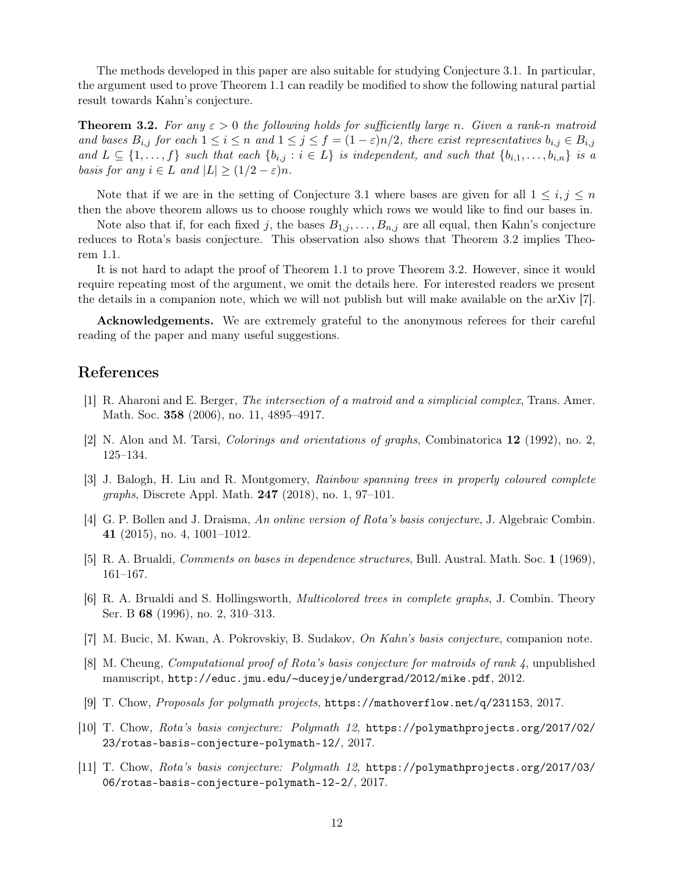The methods developed in this paper are also suitable for studying [Conjecture 3.1.](#page-10-0) In particular, the argument used to prove [Theorem 1.1](#page-1-0) can readily be modified to show the following natural partial result towards Kahn's conjecture.

<span id="page-11-10"></span>**Theorem 3.2.** For any  $\varepsilon > 0$  the following holds for sufficiently large n. Given a rank-n matroid and bases  $B_{i,j}$  for each  $1 \leq i \leq n$  and  $1 \leq j \leq f = (1 - \varepsilon)n/2$ , there exist representatives  $b_{i,j} \in B_{i,j}$ and  $L \subseteq \{1, \ldots, f\}$  such that each  $\{b_{i,j} : i \in L\}$  is independent, and such that  $\{b_{i,1}, \ldots, b_{i,n}\}$  is a basis for any  $i \in L$  and  $|L| \geq (1/2 - \varepsilon)n$ .

Note that if we are in the setting of [Conjecture 3.1](#page-10-0) where bases are given for all  $1 \leq i, j \leq n$ then the above theorem allows us to choose roughly which rows we would like to find our bases in.

Note also that if, for each fixed j, the bases  $B_{1,j}, \ldots, B_{n,j}$  are all equal, then Kahn's conjecture reduces to Rota's basis conjecture. This observation also shows that [Theorem 3.2](#page-11-10) implies [Theo](#page-1-0)[rem 1.1.](#page-1-0)

It is not hard to adapt the proof of [Theorem 1.1](#page-1-0) to prove [Theorem 3.2.](#page-11-10) However, since it would require repeating most of the argument, we omit the details here. For interested readers we present the details in a companion note, which we will not publish but will make available on the arXiv [\[7\]](#page-11-11).

Acknowledgements. We are extremely grateful to the anonymous referees for their careful reading of the paper and many useful suggestions.

## References

- <span id="page-11-2"></span>[1] R. Aharoni and E. Berger, The intersection of a matroid and a simplicial complex, Trans. Amer. Math. Soc. 358 (2006), no. 11, 4895–4917.
- <span id="page-11-0"></span>[2] N. Alon and M. Tarsi, Colorings and orientations of graphs, Combinatorica 12 (1992), no. 2, 125–134.
- <span id="page-11-9"></span>[3] J. Balogh, H. Liu and R. Montgomery, Rainbow spanning trees in properly coloured complete graphs, Discrete Appl. Math. 247 (2018), no. 1, 97–101.
- <span id="page-11-3"></span>[4] G. P. Bollen and J. Draisma, An online version of Rota's basis conjecture, J. Algebraic Combin. 41 (2015), no. 4, 1001–1012.
- <span id="page-11-7"></span>[5] R. A. Brualdi, Comments on bases in dependence structures, Bull. Austral. Math. Soc. 1 (1969), 161–167.
- <span id="page-11-8"></span>[6] R. A. Brualdi and S. Hollingsworth, Multicolored trees in complete graphs, J. Combin. Theory Ser. B 68 (1996), no. 2, 310–313.
- <span id="page-11-11"></span>[7] M. Bucic, M. Kwan, A. Pokrovskiy, B. Sudakov, On Kahn's basis conjecture, companion note.
- <span id="page-11-1"></span>[8] M. Cheung, Computational proof of Rota's basis conjecture for matroids of rank 4, unpublished manuscript, http://educ.jmu.edu/~[duceyje/undergrad/2012/mike.pdf](http://educ.jmu.edu/~duceyje/undergrad/2012/mike.pdf), 2012.
- <span id="page-11-4"></span>[9] T. Chow, Proposals for polymath projects, <https://mathoverflow.net/q/231153>, 2017.
- <span id="page-11-5"></span>[10] T. Chow, Rota's basis conjecture: Polymath 12, [https://polymathprojects.org/2017/02/](https://polymathprojects.org/2017/02/23/rotas-basis-conjecture-polymath-12/) [23/rotas-basis-conjecture-polymath-12/](https://polymathprojects.org/2017/02/23/rotas-basis-conjecture-polymath-12/), 2017.
- <span id="page-11-6"></span>[11] T. Chow, Rota's basis conjecture: Polymath 12, [https://polymathprojects.org/2017/03/](https://polymathprojects.org/2017/03/06/rotas-basis-conjecture-polymath-12-2/) [06/rotas-basis-conjecture-polymath-12-2/](https://polymathprojects.org/2017/03/06/rotas-basis-conjecture-polymath-12-2/), 2017.